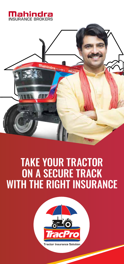



# TAKE YOUR TRACTOR ON A SECURE TRACK WITH THE RIGHT INSURANCE

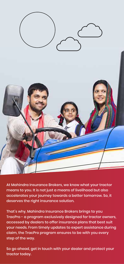

At Mahindra Insurance Brokers, we know what your tractor means to you. It is not just a means of livelihood but also accelerates your journey towards a better tomorrow. So, it deserves the right insurance solution.

That's why, Mahindra Insurance Brokers brings to you TracPro - a program exclusively designed for tractor owners, accessed by dealers to offer insurance plans that best suit your needs. From timely updates to expert assistance during claim, the TracPro program ensures to be with you every step of the way.

So go ahead, get in touch with your dealer and protect your tractor today.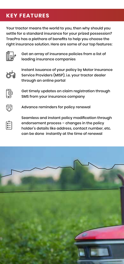## **KEY FEATURES**

Your tractor means the world to you, then why should you settle for a standard insurance for your prized possession? TracPro has a plethora of benefits to help you choose the right insurance solution. Here are some of our top features:



Get an array of insurance policies from a list of leading insurance companies



Instant issuance of your policy by Motor Insurance Service Providers (MISP), i.e. your tractor dealer through an online portal



Get timely updates on claim registration through SMS from your insurance company



Advance reminders for policy renewal



Seamless and instant policy modification through endorsement process – changes in the policy holder's details like address, contact number, etc. can be done instantly at the time of renewal

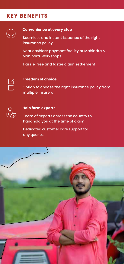## **KEY BENEFITS**



#### **Convenience at every step**

Seamless and instant issuance of the right insurance policy

Near cashless payment facility at Mahindra & Mahindra workshops

Hassle-free and faster claim settlement



#### **Freedom of choice**

Option to choose the right insurance policy from multiple insurers



#### **Help form experts**

Team of experts across the country to handhold you at the time of claim

Dedicated customer care support for any queries

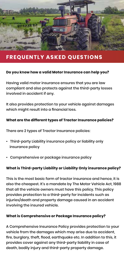

## **FREQUENTLY ASKED QUESTIONS**

#### **Do you know how a valid Motor Insurance can help you?**

Having valid motor insurance ensures that you are law compliant and also protects against the third-party losses involved in accident if any.

It also provides protection to your vehicle against damages which might result into a financial loss.

#### **What are the different types of Tractor Insurance policies?**

There are 2 types of Tractor Insurance policies:

- Third-party Liability insurance policy or liability only insurance policy
- Comprehensive or package insurance policy

#### **What is Third-party Liability or Liability Only insurance policy?**

This is the most basic form of tractor insurance and hence, it is also the cheapest. It's a mandate by The Motor Vehicle Act, 1988 that all the vehicle owners must have this policy. This policy provides protection to a third-party for incidents such as injuries/death and property damage caused in an accident involving the insured vehicle.

#### **What is Comprehensive or Package Insurance policy?**

A Comprehensive Insurance Policy provides protection to your vehicle from the damages which may arise due to accident, fire, burglary, theft, flood, earthquake etc. In addition to this, it provides cover against any third-party liability in case of death, bodily injury and third-party property damage.